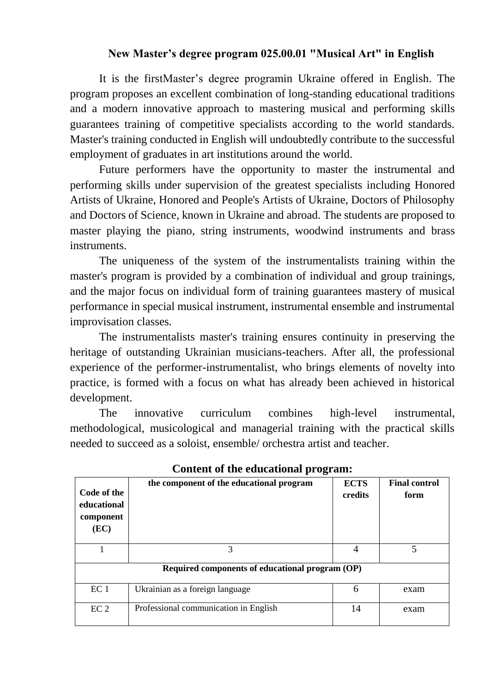## **New Master's degree program 025.00.01 "Musical Art" in English**

It is the firstMaster's degree programin Ukraine offered in English. The program proposes an excellent combination of long-standing educational traditions and a modern innovative approach to mastering musical and performing skills guarantees training of competitive specialists according to the world standards. Master's training conducted in English will undoubtedly contribute to the successful employment of graduates in art institutions around the world.

Future performers have the opportunity to master the instrumental and performing skills under supervision of the greatest specialists including Honored Artists of Ukraine, Honored and People's Artists of Ukraine, Doctors of Philosophy and Doctors of Science, known in Ukraine and abroad. The students are proposed to master playing the piano, string instruments, woodwind instruments and brass instruments.

The uniqueness of the system of the instrumentalists training within the master's program is provided by a combination of individual and group trainings, and the major focus on individual form of training guarantees mastery of musical performance in special musical instrument, instrumental ensemble and instrumental improvisation classes.

The instrumentalists master's training ensures continuity in preserving the heritage of outstanding Ukrainian musicians-teachers. After all, the professional experience of the performer-instrumentalist, who brings elements of novelty into practice, is formed with a focus on what has already been achieved in historical development.

The innovative curriculum combines high-level instrumental, methodological, musicological and managerial training with the practical skills needed to succeed as a soloist, ensemble/ orchestra artist and teacher.

| Code of the<br>educational<br>component<br>(EC) | the component of the educational program | <b>ECTS</b><br>credits | <b>Final control</b><br>form |  |  |
|-------------------------------------------------|------------------------------------------|------------------------|------------------------------|--|--|
|                                                 | 3                                        | 4                      | 5                            |  |  |
| Required components of educational program (OP) |                                          |                        |                              |  |  |
| EC <sub>1</sub>                                 | Ukrainian as a foreign language          | 6                      | exam                         |  |  |
| EC <sub>2</sub>                                 | Professional communication in English    | 14                     | exam                         |  |  |

**Content of the educational program:**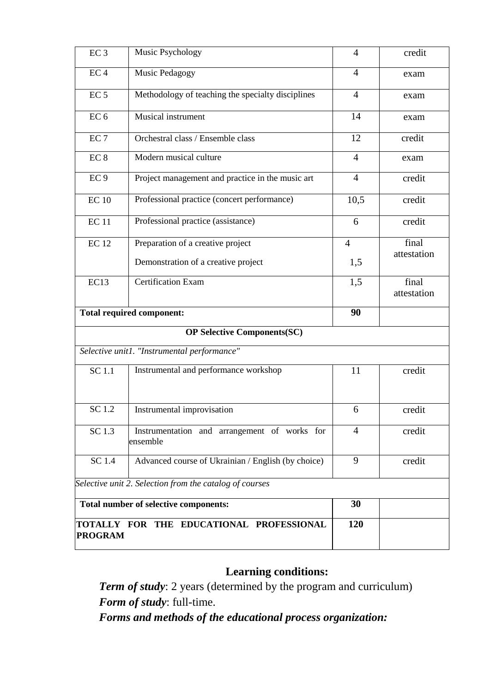| EC <sub>3</sub>                                            | Music Psychology                                         | $\overline{4}$ | credit               |  |
|------------------------------------------------------------|----------------------------------------------------------|----------------|----------------------|--|
| EC <sub>4</sub>                                            | Music Pedagogy                                           | $\overline{4}$ | exam                 |  |
| EC <sub>5</sub>                                            | Methodology of teaching the specialty disciplines        | $\overline{4}$ | exam                 |  |
| EC <sub>6</sub>                                            | Musical instrument                                       | 14             | exam                 |  |
| EC <sub>7</sub>                                            | Orchestral class / Ensemble class                        | 12             | credit               |  |
| EC <sub>8</sub>                                            | Modern musical culture                                   | 4              | exam                 |  |
| EC <sub>9</sub>                                            | Project management and practice in the music art         | $\overline{4}$ | credit               |  |
| $EC$ 10                                                    | Professional practice (concert performance)              | 10,5           | credit               |  |
| <b>EC11</b>                                                | Professional practice (assistance)                       | 6              | credit               |  |
| <b>EC12</b>                                                | Preparation of a creative project                        | $\overline{4}$ | final                |  |
|                                                            | Demonstration of a creative project                      | 1,5            | attestation          |  |
| EC13                                                       | <b>Certification Exam</b>                                | 1,5            | final<br>attestation |  |
| <b>Total required component:</b>                           |                                                          | 90             |                      |  |
| <b>OP Selective Components(SC)</b>                         |                                                          |                |                      |  |
| Selective unit1. "Instrumental performance"                |                                                          |                |                      |  |
| <b>SC1.1</b>                                               | Instrumental and performance workshop                    | 11             | credit               |  |
| SC 1.2                                                     | Instrumental improvisation                               | 6              | credit               |  |
| SC 1.3                                                     | Instrumentation and arrangement of works for<br>ensemble | 4              | credit               |  |
| SC 1.4                                                     | Advanced course of Ukrainian / English (by choice)       | 9              | credit               |  |
| Selective unit 2. Selection from the catalog of courses    |                                                          |                |                      |  |
| Total number of selective components:                      |                                                          | 30             |                      |  |
| TOTALLY FOR THE EDUCATIONAL PROFESSIONAL<br><b>PROGRAM</b> |                                                          | 120            |                      |  |

# **Learning conditions:**

*Term of study*: 2 years (determined by the program and curriculum) *Form of study*: full-time.

*Forms and methods of the educational process organization:*